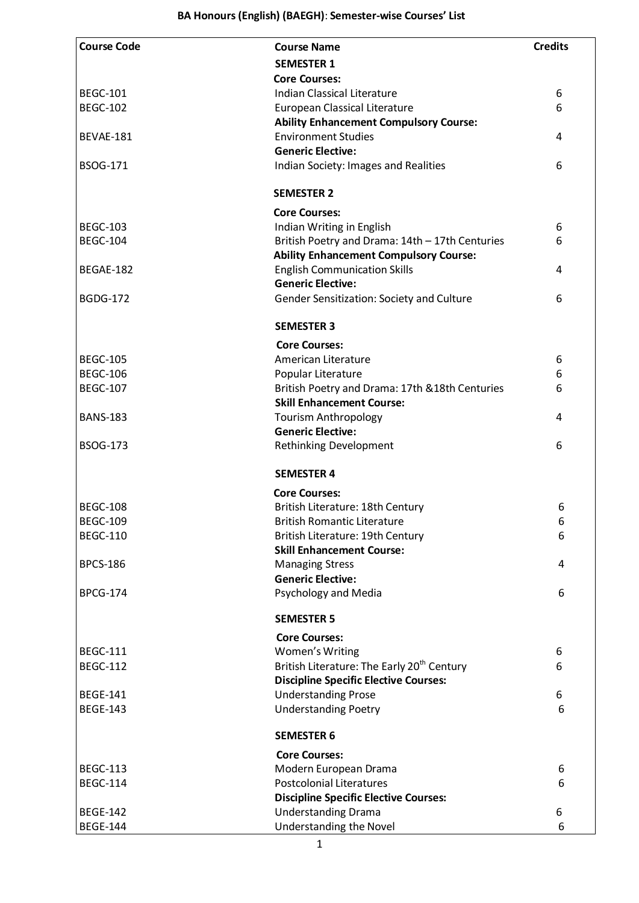| <b>Course Code</b> | <b>Course Name</b>                                                                  | <b>Credits</b> |
|--------------------|-------------------------------------------------------------------------------------|----------------|
|                    | <b>SEMESTER 1</b>                                                                   |                |
|                    | <b>Core Courses:</b>                                                                |                |
| <b>BEGC-101</b>    | Indian Classical Literature                                                         | 6              |
| <b>BEGC-102</b>    | European Classical Literature                                                       | 6              |
|                    | <b>Ability Enhancement Compulsory Course:</b>                                       |                |
| BEVAE-181          | <b>Environment Studies</b>                                                          | 4              |
|                    | <b>Generic Elective:</b>                                                            |                |
| <b>BSOG-171</b>    | Indian Society: Images and Realities                                                | 6              |
|                    |                                                                                     |                |
|                    | <b>SEMESTER 2</b>                                                                   |                |
|                    | <b>Core Courses:</b>                                                                |                |
| <b>BEGC-103</b>    |                                                                                     |                |
| <b>BEGC-104</b>    | Indian Writing in English<br>British Poetry and Drama: 14th - 17th Centuries        | 6<br>6         |
|                    | <b>Ability Enhancement Compulsory Course:</b>                                       |                |
| BEGAE-182          | <b>English Communication Skills</b>                                                 | 4              |
|                    | <b>Generic Elective:</b>                                                            |                |
| <b>BGDG-172</b>    | Gender Sensitization: Society and Culture                                           | 6              |
|                    |                                                                                     |                |
|                    | <b>SEMESTER 3</b>                                                                   |                |
|                    | <b>Core Courses:</b>                                                                |                |
| <b>BEGC-105</b>    | American Literature                                                                 |                |
| <b>BEGC-106</b>    | Popular Literature                                                                  | 6<br>6         |
| <b>BEGC-107</b>    |                                                                                     | 6              |
|                    | British Poetry and Drama: 17th & 18th Centuries<br><b>Skill Enhancement Course:</b> |                |
| <b>BANS-183</b>    | <b>Tourism Anthropology</b>                                                         | 4              |
|                    | <b>Generic Elective:</b>                                                            |                |
| <b>BSOG-173</b>    | <b>Rethinking Development</b>                                                       | 6              |
|                    |                                                                                     |                |
|                    | <b>SEMESTER 4</b>                                                                   |                |
|                    | <b>Core Courses:</b>                                                                |                |
| <b>BEGC-108</b>    | British Literature: 18th Century                                                    | 6              |
| <b>BEGC-109</b>    | <b>British Romantic Literature</b>                                                  | 6              |
| <b>BEGC-110</b>    | British Literature: 19th Century                                                    | 6              |
|                    | <b>Skill Enhancement Course:</b>                                                    |                |
| <b>BPCS-186</b>    | <b>Managing Stress</b>                                                              | 4              |
|                    | <b>Generic Elective:</b>                                                            |                |
| <b>BPCG-174</b>    | Psychology and Media                                                                | 6              |
|                    | <b>SEMESTER 5</b>                                                                   |                |
|                    | <b>Core Courses:</b>                                                                |                |
| <b>BEGC-111</b>    | Women's Writing                                                                     | 6              |
| <b>BEGC-112</b>    | British Literature: The Early 20 <sup>th</sup> Century                              | 6              |
|                    | <b>Discipline Specific Elective Courses:</b>                                        |                |
| <b>BEGE-141</b>    | <b>Understanding Prose</b>                                                          | 6              |
| <b>BEGE-143</b>    | <b>Understanding Poetry</b>                                                         | 6              |
|                    |                                                                                     |                |
|                    | <b>SEMESTER 6</b>                                                                   |                |
|                    | <b>Core Courses:</b>                                                                |                |
| <b>BEGC-113</b>    | Modern European Drama                                                               | 6              |
| <b>BEGC-114</b>    | <b>Postcolonial Literatures</b>                                                     | 6              |
|                    | <b>Discipline Specific Elective Courses:</b>                                        |                |
| <b>BEGE-142</b>    | <b>Understanding Drama</b>                                                          | 6              |
| <b>BEGE-144</b>    | Understanding the Novel                                                             | 6              |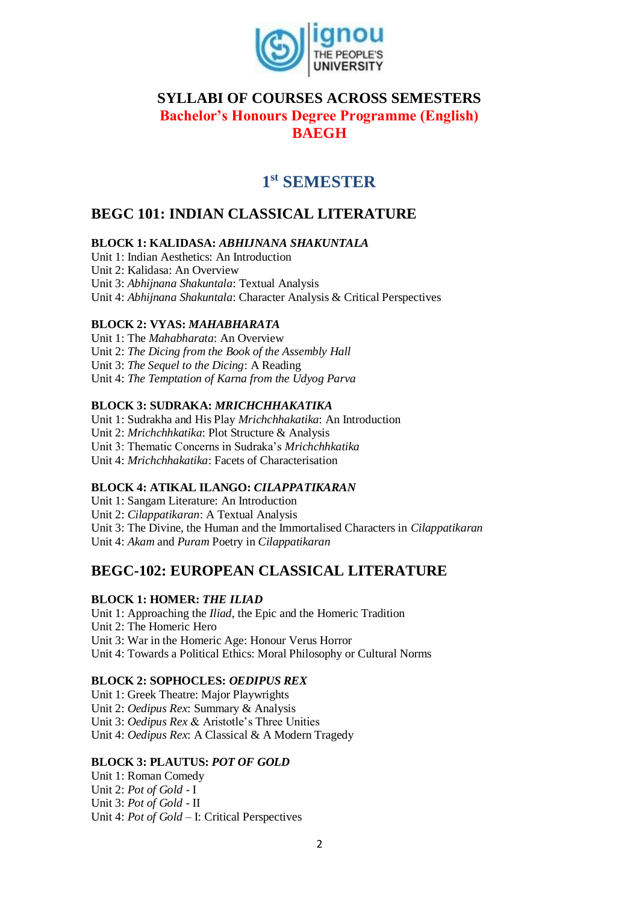

## **SYLLABI OF COURSES ACROSS SEMESTERS Bachelor's Honours Degree Programme (English) BAEGH**

# **1 st SEMESTER**

## **BEGC 101: INDIAN CLASSICAL LITERATURE**

## **BLOCK 1: KALIDASA:** *ABHIJNANA SHAKUNTALA*

Unit 1: Indian Aesthetics: An Introduction Unit 2: Kalidasa: An Overview Unit 3: *Abhijnana Shakuntala*: Textual Analysis Unit 4: *Abhijnana Shakuntala*: Character Analysis & Critical Perspectives

### **BLOCK 2: VYAS:** *MAHABHARATA*

Unit 1: The *Mahabharata*: An Overview Unit 2: *The Dicing from the Book of the Assembly Hall* Unit 3: *The Sequel to the Dicing*: A Reading Unit 4: *The Temptation of Karna from the Udyog Parva*

### **BLOCK 3: SUDRAKA:** *MRICHCHHAKATIKA*

Unit 1: Sudrakha and His Play *Mrichchhakatika*: An Introduction Unit 2: *Mrichchhkatika*: Plot Structure & Analysis Unit 3: Thematic Concerns in Sudraka's *Mrichchhkatika*  Unit 4: *Mrichchhakatika*: Facets of Characterisation

## **BLOCK 4: ATIKAL ILANGO:** *CILAPPATIKARAN*

Unit 1: Sangam Literature: An Introduction Unit 2: *Cilappatikaran*: A Textual Analysis Unit 3: The Divine, the Human and the Immortalised Characters in *Cilappatikaran*  Unit 4: *Akam* and *Puram* Poetry in *Cilappatikaran*

## **BEGC-102: EUROPEAN CLASSICAL LITERATURE**

### **BLOCK 1: HOMER:** *THE ILIAD*

Unit 1: Approaching the *Iliad*, the Epic and the Homeric Tradition Unit 2: The Homeric Hero Unit 3: War in the Homeric Age: Honour Verus Horror Unit 4: Towards a Political Ethics: Moral Philosophy or Cultural Norms

### **BLOCK 2: SOPHOCLES:** *OEDIPUS REX*

Unit 1: Greek Theatre: Major Playwrights Unit 2: *Oedipus Rex*: Summary & Analysis Unit 3: *Oedipus Rex* & Aristotle's Three Unities Unit 4: *Oedipus Rex*: A Classical & A Modern Tragedy

### **BLOCK 3: PLAUTUS:** *POT OF GOLD*

Unit 1: Roman Comedy Unit 2: *Pot of Gold* - I Unit 3: *Pot of Gold* - II Unit 4: *Pot of Gold* – I: Critical Perspectives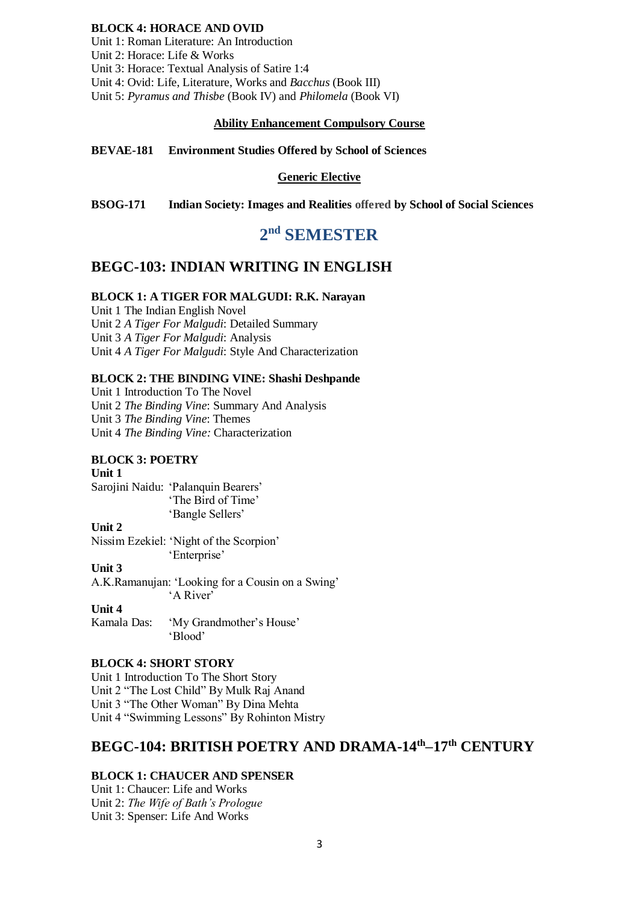#### **BLOCK 4: HORACE AND OVID**

Unit 1: Roman Literature: An Introduction Unit 2: Horace: Life & Works Unit 3: Horace: Textual Analysis of Satire 1:4 Unit 4: Ovid: Life, Literature, Works and *Bacchus* (Book III) Unit 5: *Pyramus and Thisbe* (Book IV) and *Philomela* (Book VI)

#### **Ability Enhancement Compulsory Course**

**BEVAE-181 Environment Studies Offered by School of Sciences**

#### **Generic Elective**

**BSOG-171 Indian Society: Images and Realities offered by School of Social Sciences**

# **2 nd SEMESTER**

## **BEGC-103: INDIAN WRITING IN ENGLISH**

#### **BLOCK 1: A TIGER FOR MALGUDI: R.K. Narayan**

Unit 1 The Indian English Novel Unit 2 *A Tiger For Malgudi*: Detailed Summary Unit 3 *A Tiger For Malgudi*: Analysis Unit 4 *A Tiger For Malgudi*: Style And Characterization

#### **BLOCK 2: THE BINDING VINE: Shashi Deshpande**

Unit 1 Introduction To The Novel Unit 2 *The Binding Vine*: Summary And Analysis Unit 3 *The Binding Vine*: Themes Unit 4 *The Binding Vine:* Characterization

#### **BLOCK 3: POETRY**

**Unit 1**  Sarojini Naidu: 'Palanquin Bearers' 'The Bird of Time' 'Bangle Sellers'

## **Unit 2**

Nissim Ezekiel: 'Night of the Scorpion' 'Enterprise'

**Unit 3** A.K.Ramanujan: 'Looking for a Cousin on a Swing' 'A River'

#### **Unit 4**

Kamala Das: 'My Grandmother's House' 'Blood'

#### **BLOCK 4: SHORT STORY**

Unit 1 Introduction To The Short Story Unit 2 "The Lost Child" By Mulk Raj Anand Unit 3 "The Other Woman" By Dina Mehta Unit 4 "Swimming Lessons" By Rohinton Mistry

## **BEGC-104: BRITISH POETRY AND DRAMA-14th–17th CENTURY**

#### **BLOCK 1: CHAUCER AND SPENSER**

Unit 1: Chaucer: Life and Works Unit 2: *The Wife of Bath's Prologue* Unit 3: Spenser: Life And Works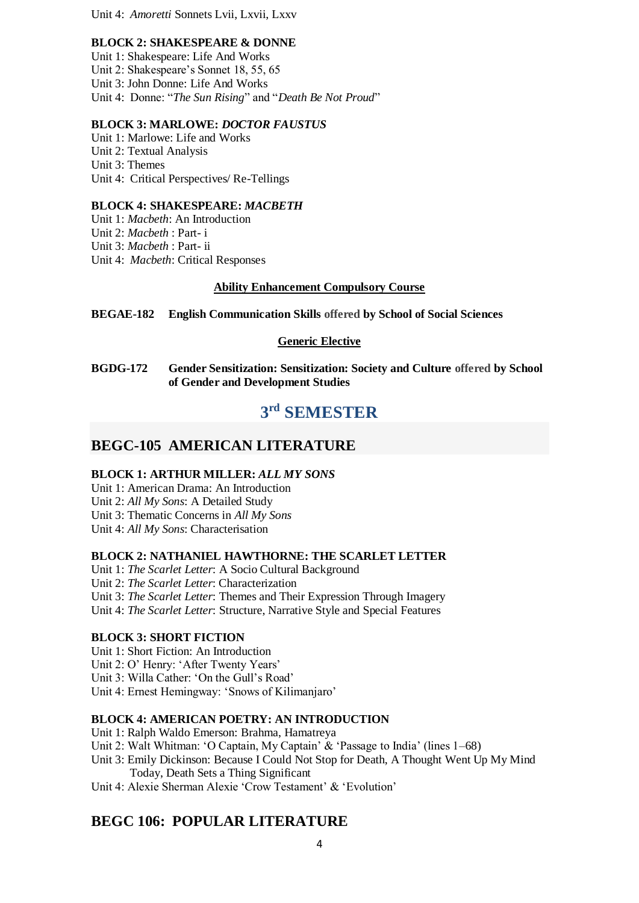Unit 4: *Amoretti* Sonnets Lvii, Lxvii, Lxxv

#### **BLOCK 2: SHAKESPEARE & DONNE**

Unit 1: Shakespeare: Life And Works Unit 2: Shakespeare's Sonnet 18, 55, 65 Unit 3: John Donne: Life And Works Unit 4: Donne: "*The Sun Rising*" and "*Death Be Not Proud*"

### **BLOCK 3: MARLOWE:** *DOCTOR FAUSTUS*

Unit 1: Marlowe: Life and Works Unit 2: Textual Analysis Unit 3: Themes Unit 4: Critical Perspectives/ Re-Tellings

#### **BLOCK 4: SHAKESPEARE:** *MACBETH*

Unit 1: *Macbeth*: An Introduction Unit 2: *Macbeth* : Part- i Unit 3: *Macbeth* : Part- ii Unit 4: *Macbeth*: Critical Responses

#### **Ability Enhancement Compulsory Course**

**BEGAE-182 English Communication Skills offered by School of Social Sciences**

#### **Generic Elective**

**BGDG-172 Gender Sensitization: Sensitization: Society and Culture offered by School of Gender and Development Studies**

# **3 rd SEMESTER**

## **BEGC-105 AMERICAN LITERATURE**

#### **BLOCK 1: ARTHUR MILLER:** *ALL MY SONS*

Unit 1: American Drama: An Introduction Unit 2: *All My Sons*: A Detailed Study Unit 3: Thematic Concerns in *All My Sons* Unit 4: *All My Sons*: Characterisation

### **BLOCK 2: NATHANIEL HAWTHORNE: THE SCARLET LETTER**

Unit 1: *The Scarlet Letter*: A Socio Cultural Background Unit 2: *The Scarlet Letter*: Characterization Unit 3: *The Scarlet Letter*: Themes and Their Expression Through Imagery Unit 4: *The Scarlet Letter*: Structure, Narrative Style and Special Features

### **BLOCK 3: SHORT FICTION**

Unit 1: Short Fiction: An Introduction Unit 2: O' Henry: 'After Twenty Years' Unit 3: Willa Cather: 'On the Gull's Road' Unit 4: Ernest Hemingway: 'Snows of Kilimanjaro'

#### **BLOCK 4: AMERICAN POETRY: AN INTRODUCTION**

Unit 1: Ralph Waldo Emerson: Brahma, Hamatreya

- Unit 2: Walt Whitman: 'O Captain, My Captain' & 'Passage to India' (lines 1–68)
- Unit 3: Emily Dickinson: Because I Could Not Stop for Death, A Thought Went Up My Mind Today, Death Sets a Thing Significant
- Unit 4: Alexie Sherman Alexie 'Crow Testament' & 'Evolution'

## **BEGC 106: POPULAR LITERATURE**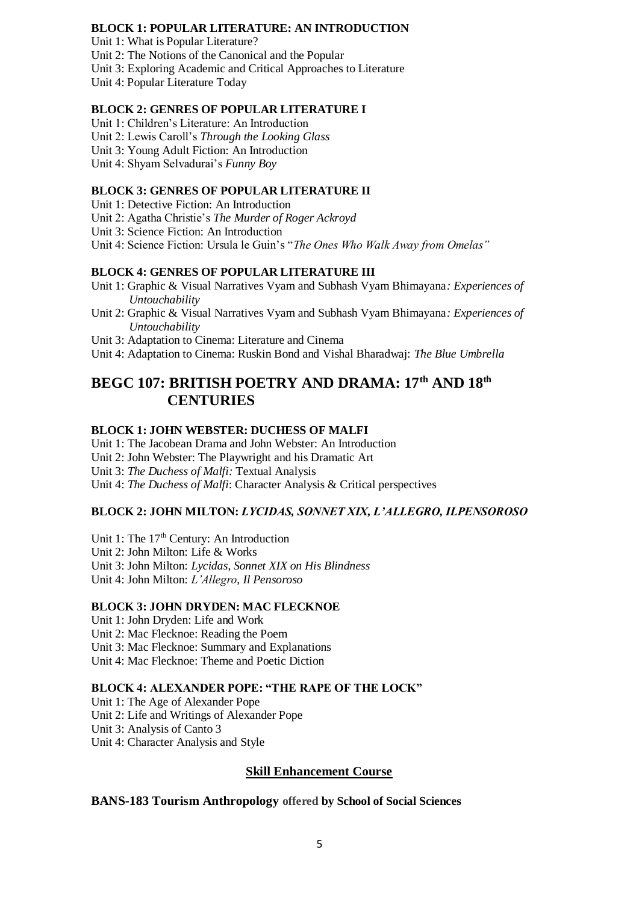#### **BLOCK 1: POPULAR LITERATURE: AN INTRODUCTION**

Unit 1: What is Popular Literature?

Unit 2: The Notions of the Canonical and the Popular

Unit 3: Exploring Academic and Critical Approaches to Literature

Unit 4: Popular Literature Today

#### **BLOCK 2: GENRES OF POPULAR LITERATURE I**

Unit 1: Children's Literature: An Introduction

- Unit 2: Lewis Caroll's *Through the Looking Glass*
- Unit 3: Young Adult Fiction: An Introduction

Unit 4: Shyam Selvadurai's *Funny Boy*

### **BLOCK 3: GENRES OF POPULAR LITERATURE II**

Unit 1: Detective Fiction: An Introduction

Unit 2: Agatha Christie's *The Murder of Roger Ackroyd*

Unit 3: Science Fiction: An Introduction

Unit 4: Science Fiction: Ursula le Guin's "*The Ones Who Walk Away from Omelas"* 

### **BLOCK 4: GENRES OF POPULAR LITERATURE III**

- Unit 1: Graphic & Visual Narratives Vyam and Subhash Vyam Bhimayana*: Experiences of Untouchability*
- Unit 2: Graphic & Visual Narratives Vyam and Subhash Vyam Bhimayana*: Experiences of Untouchability*
- Unit 3: Adaptation to Cinema: Literature and Cinema
- Unit 4: Adaptation to Cinema: Ruskin Bond and Vishal Bharadwaj: *The Blue Umbrella*

## **BEGC 107: BRITISH POETRY AND DRAMA: 17th AND 18th CENTURIES**

### **BLOCK 1: JOHN WEBSTER: DUCHESS OF MALFI**

Unit 1: The Jacobean Drama and John Webster: An Introduction Unit 2: John Webster: The Playwright and his Dramatic Art Unit 3: *The Duchess of Malfi:* Textual Analysis Unit 4: *The Duchess of Malfi*: Character Analysis & Critical perspectives

### **BLOCK 2: JOHN MILTON:** *LYCIDAS, SONNET XIX, L'ALLEGRO, ILPENSOROSO*

Unit 1: The  $17<sup>th</sup>$  Century: An Introduction Unit 2: John Milton: Life & Works Unit 3: John Milton: *Lycidas*, *Sonnet XIX on His Blindness*  Unit 4: John Milton: *L'Allegro*, *Il Pensoroso*

#### **BLOCK 3: JOHN DRYDEN: MAC FLECKNOE**

Unit 1: John Dryden: Life and Work Unit 2: Mac Flecknoe: Reading the Poem Unit 3: Mac Flecknoe: Summary and Explanations Unit 4: Mac Flecknoe: Theme and Poetic Diction

### **BLOCK 4: ALEXANDER POPE: "THE RAPE OF THE LOCK"**

Unit 1: The Age of Alexander Pope Unit 2: Life and Writings of Alexander Pope Unit 3: Analysis of Canto 3 Unit 4: Character Analysis and Style

### **Skill Enhancement Course**

### **BANS-183 Tourism Anthropology offered by School of Social Sciences**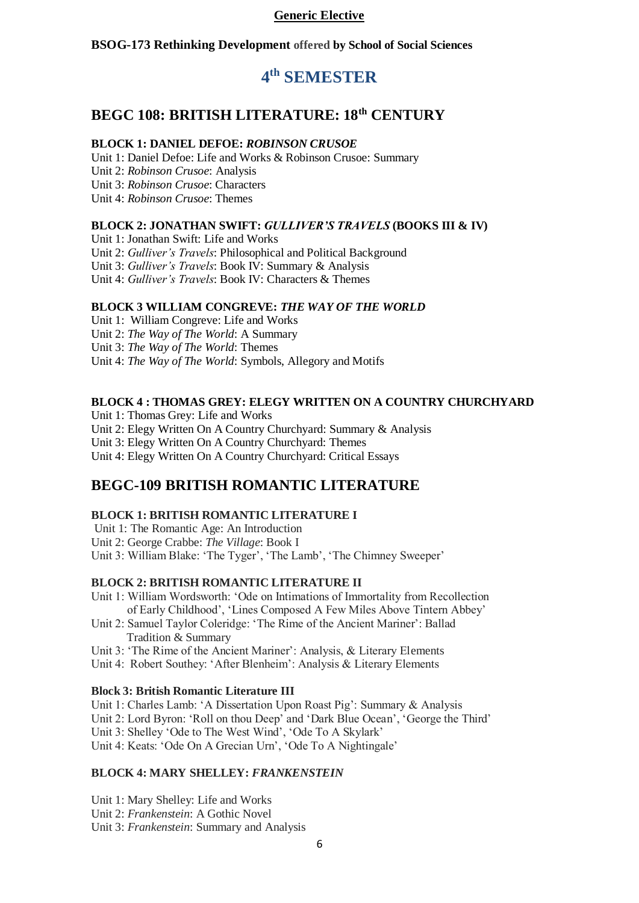#### **Generic Elective**

**BSOG-173 Rethinking Development offered by School of Social Sciences**

# **4 th SEMESTER**

## **BEGC 108: BRITISH LITERATURE: 18th CENTURY**

#### **BLOCK 1: DANIEL DEFOE:** *ROBINSON CRUSOE*

Unit 1: Daniel Defoe: Life and Works & Robinson Crusoe: Summary Unit 2: *Robinson Crusoe*: Analysis Unit 3: *Robinson Crusoe*: Characters Unit 4: *Robinson Crusoe*: Themes

### **BLOCK 2: JONATHAN SWIFT:** *GULLIVER'S TRAVELS* **(BOOKS III & IV)**

Unit 1: Jonathan Swift: Life and Works Unit 2: *Gulliver's Travels*: Philosophical and Political Background Unit 3: *Gulliver's Travels*: Book IV: Summary & Analysis Unit 4: *Gulliver's Travels*: Book IV: Characters & Themes

### **BLOCK 3 WILLIAM CONGREVE:** *THE WAY OF THE WORLD*

Unit 1: William Congreve: Life and Works Unit 2: *The Way of The World*: A Summary Unit 3: *The Way of The World*: Themes Unit 4: *The Way of The World*: Symbols, Allegory and Motifs

#### **BLOCK 4 : THOMAS GREY: ELEGY WRITTEN ON A COUNTRY CHURCHYARD**

Unit 1: Thomas Grey: Life and Works Unit 2: Elegy Written On A Country Churchyard: Summary & Analysis Unit 3: Elegy Written On A Country Churchyard: Themes Unit 4: Elegy Written On A Country Churchyard: Critical Essays

## **BEGC-109 BRITISH ROMANTIC LITERATURE**

#### **BLOCK 1: BRITISH ROMANTIC LITERATURE I**

Unit 1: The Romantic Age: An Introduction Unit 2: George Crabbe: *The Village*: Book I Unit 3: William Blake: 'The Tyger', 'The Lamb', 'The Chimney Sweeper'

#### **BLOCK 2: BRITISH ROMANTIC LITERATURE II**

- Unit 1: William Wordsworth: 'Ode on Intimations of Immortality from Recollection of Early Childhood', 'Lines Composed A Few Miles Above Tintern Abbey'
- Unit 2: Samuel Taylor Coleridge: 'The Rime of the Ancient Mariner': Ballad Tradition & Summary

Unit 3: 'The Rime of the Ancient Mariner': Analysis, & Literary Elements

Unit 4: Robert Southey: 'After Blenheim': Analysis & Literary Elements

#### **Block 3: British Romantic Literature III**

Unit 1: Charles Lamb: 'A Dissertation Upon Roast Pig': Summary & Analysis

Unit 2: Lord Byron: 'Roll on thou Deep' and 'Dark Blue Ocean', 'George the Third'

Unit 3: Shelley 'Ode to The West Wind', 'Ode To A Skylark'

Unit 4: Keats: 'Ode On A Grecian Urn', 'Ode To A Nightingale'

## **BLOCK 4: MARY SHELLEY:** *FRANKENSTEIN*

Unit 1: Mary Shelley: Life and Works Unit 2: *Frankenstein*: A Gothic Novel Unit 3: *Frankenstein*: Summary and Analysis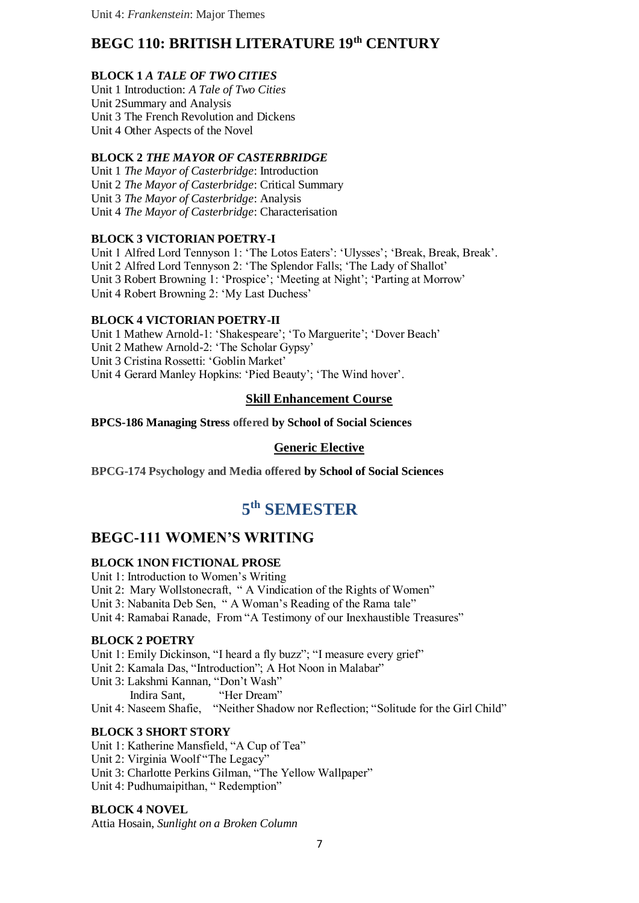## **BEGC 110: BRITISH LITERATURE 19th CENTURY**

## **BLOCK 1** *A TALE OF TWO CITIES*

Unit 1 Introduction: *A Tale of Two Cities* Unit 2Summary and Analysis Unit 3 The French Revolution and Dickens Unit 4 Other Aspects of the Novel

## **BLOCK 2** *THE MAYOR OF CASTERBRIDGE*

Unit 1 *The Mayor of Casterbridge*: Introduction Unit 2 *The Mayor of Casterbridge*: Critical Summary Unit 3 *The Mayor of Casterbridge*: Analysis Unit 4 *The Mayor of Casterbridge*: Characterisation

## **BLOCK 3 VICTORIAN POETRY-I**

Unit 1 Alfred Lord Tennyson 1: 'The Lotos Eaters': 'Ulysses'; 'Break, Break, Break'. Unit 2 Alfred Lord Tennyson 2: 'The Splendor Falls; 'The Lady of Shallot' Unit 3 Robert Browning 1: 'Prospice'; 'Meeting at Night'; 'Parting at Morrow' Unit 4 Robert Browning 2: 'My Last Duchess'

### **BLOCK 4 VICTORIAN POETRY-II**

Unit 1 Mathew Arnold-1: 'Shakespeare'; 'To Marguerite'; 'Dover Beach' Unit 2 Mathew Arnold-2: 'The Scholar Gypsy' Unit 3 Cristina Rossetti: 'Goblin Market' Unit 4 Gerard Manley Hopkins: 'Pied Beauty'; 'The Wind hover'.

## **Skill Enhancement Course**

**BPCS-186 Managing Stress offered by School of Social Sciences**

## **Generic Elective**

**BPCG-174 Psychology and Media offered by School of Social Sciences**

# **5 th SEMESTER**

## **BEGC-111 WOMEN'S WRITING**

### **BLOCK 1NON FICTIONAL PROSE**

Unit 1: Introduction to Women's Writing Unit 2: Mary Wollstonecraft, " A Vindication of the Rights of Women" Unit 3: Nabanita Deb Sen, " A Woman's Reading of the Rama tale" Unit 4: Ramabai Ranade, From "A Testimony of our Inexhaustible Treasures"

### **BLOCK 2 POETRY**

Unit 1: Emily Dickinson, "I heard a fly buzz"; "I measure every grief"

Unit 2: Kamala Das, "Introduction"; A Hot Noon in Malabar"

Unit 3: Lakshmi Kannan, "Don't Wash"

Indira Sant, "Her Dream"

Unit 4: Naseem Shafie, "Neither Shadow nor Reflection; "Solitude for the Girl Child"

### **BLOCK 3 SHORT STORY**

Unit 1: Katherine Mansfield, "A Cup of Tea"

Unit 2: Virginia Woolf "The Legacy"

Unit 3: Charlotte Perkins Gilman, "The Yellow Wallpaper"

Unit 4: Pudhumaipithan, "Redemption"

### **BLOCK 4 NOVEL**

Attia Hosain, *Sunlight on a Broken Column*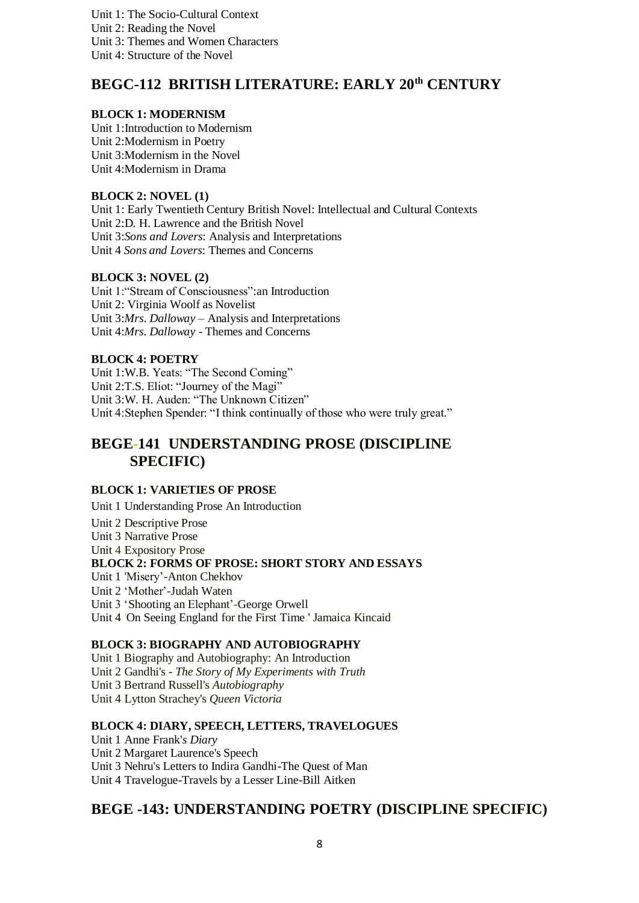Unit 1: The Socio-Cultural Context Unit 2: Reading the Novel Unit 3: Themes and Women Characters Unit 4: Structure of the Novel

## **BEGC-112 BRITISH LITERATURE: EARLY 20th CENTURY**

#### **BLOCK 1: MODERNISM**

Unit 1:Introduction to Modernism Unit 2:Modernism in Poetry Unit 3:Modernism in the Novel Unit 4:Modernism in Drama

#### **BLOCK 2: NOVEL (1)**

Unit 1: Early Twentieth Century British Novel: Intellectual and Cultural Contexts Unit 2:D. H. Lawrence and the British Novel Unit 3:*Sons and Lovers*: Analysis and Interpretations Unit 4 *Sons and Lovers*: Themes and Concerns

### **BLOCK 3: NOVEL (2)**

Unit 1:"Stream of Consciousness":an Introduction Unit 2: Virginia Woolf as Novelist Unit 3:*Mrs*. *Dalloway* – Analysis and Interpretations Unit 4:*Mrs*. *Dalloway* - Themes and Concerns

#### **BLOCK 4: POETRY**

Unit 1:W.B. Yeats: "The Second Coming" Unit 2:T.S. Eliot: "Journey of the Magi" Unit 3:W. H. Auden: "The Unknown Citizen" Unit 4:Stephen Spender: "I think continually of those who were truly great."

## **BEGE-141 UNDERSTANDING PROSE (DISCIPLINE SPECIFIC)**

### **BLOCK 1: VARIETIES OF PROSE**

Unit 1 Understanding Prose An Introduction Unit 2 Descriptive Prose Unit 3 Narrative Prose Unit 4 Expository Prose **BLOCK 2: FORMS OF PROSE: SHORT STORY AND ESSAYS** Unit 1 'Misery'-Anton Chekhov Unit 2 'Mother'-Judah Waten Unit 3 'Shooting an Elephant'-George Orwell Unit 4 'On Seeing England for the First Time.' Jamaica Kincaid

### **BLOCK 3: BIOGRAPHY AND AUTOBIOGRAPHY**

Unit 1 Biography and Autobiography: An Introduction Unit 2 Gandhi's - *The Story of My Experiments with Truth* Unit 3 Bertrand Russell's *Autobiography* Unit 4 Lytton Strachey's *Queen Victoria*

### **BLOCK 4: DIARY, SPEECH, LETTERS, TRAVELOGUES**

Unit 1 Anne Frank'*s Diary*  Unit 2 Margaret Laurence's Speech Unit 3 Nehru's Letters to Indira Gandhi-The Quest of Man Unit 4 Travelogue-Travels by a Lesser Line-Bill Aitken

## **BEGE -143: UNDERSTANDING POETRY (DISCIPLINE SPECIFIC)**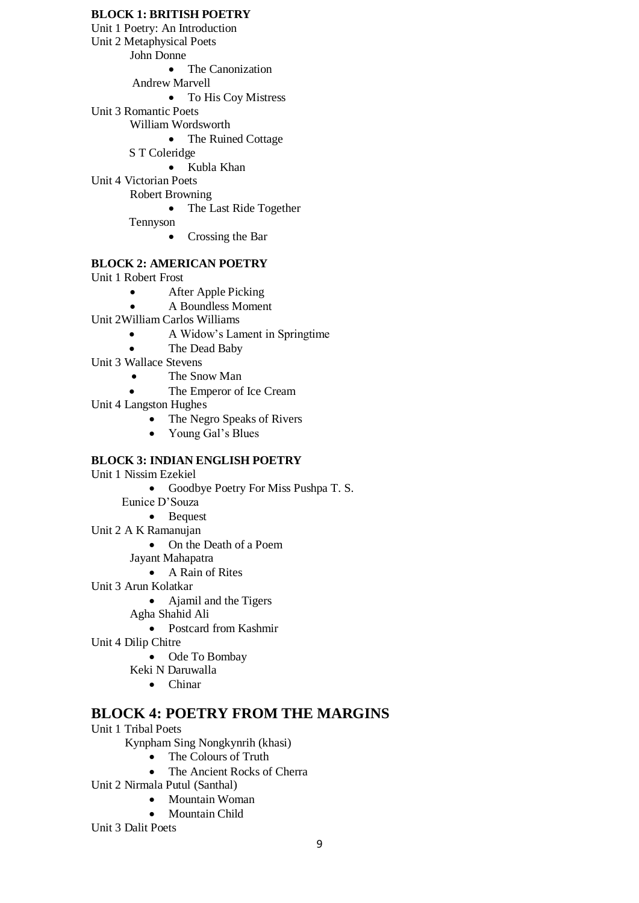#### **BLOCK 1: BRITISH POETRY**

Unit 1 Poetry: An Introduction

Unit 2 Metaphysical Poets

John Donne

• The Canonization

Andrew Marvell

• To His Coy Mistress

Unit 3 Romantic Poets

William Wordsworth

- The Ruined Cottage
- S T Coleridge

Kubla Khan

Unit 4 Victorian Poets Robert Browning

• The Last Ride Together

Tennyson

• Crossing the Bar

## **BLOCK 2: AMERICAN POETRY**

Unit 1 Robert Frost

- After Apple Picking
	- A Boundless Moment
- Unit 2William Carlos Williams
	- A Widow's Lament in Springtime
	- The Dead Baby
- Unit 3 Wallace Stevens
	- The Snow Man
	- The Emperor of Ice Cream
- Unit 4 Langston Hughes
	- The Negro Speaks of Rivers
	- Young Gal's Blues

### **BLOCK 3: INDIAN ENGLISH POETRY**

- Unit 1 Nissim Ezekiel
	- Goodbye Poetry For Miss Pushpa T. S.
	- Eunice D'Souza
		- Bequest
- Unit 2 A K Ramanujan
	- On the Death of a Poem
	- Jayant Mahapatra
		- A Rain of Rites
- Unit 3 Arun Kolatkar
	- Ajamil and the Tigers
	- Agha Shahid Ali
		- Postcard from Kashmir
- Unit 4 Dilip Chitre
	- Ode To Bombay
	- Keki N Daruwalla
		- Chinar

## **BLOCK 4: POETRY FROM THE MARGINS**

Unit 1 Tribal Poets

Kynpham Sing Nongkynrih (khasi)

- The Colours of Truth<br>• The Ancient Rocks of
- The Ancient Rocks of Cherra
- Unit 2 Nirmala Putul (Santhal)
	- Mountain Woman
	- Mountain Child
- Unit 3 Dalit Poets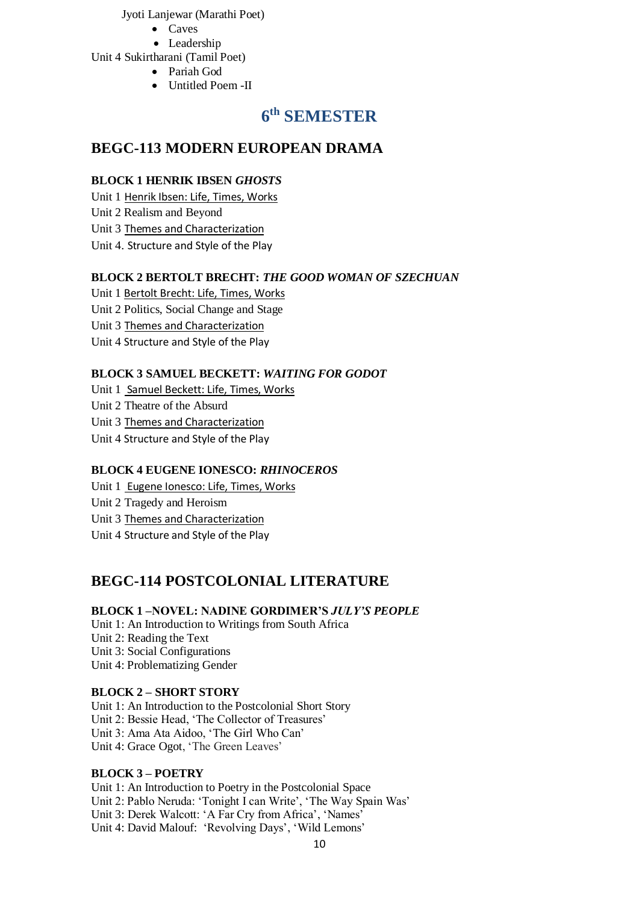Jyoti Lanjewar (Marathi Poet)

- Caves
- Leadership

Unit 4 Sukirtharani (Tamil Poet)

- Pariah God
- Untitled Poem -II

# **6 th SEMESTER**

## **BEGC-113 MODERN EUROPEAN DRAMA**

## **BLOCK 1 HENRIK IBSEN** *GHOSTS*

Unit 1 [Henrik Ibsen: Life, Times, Works](http://egyankosh.ac.in/handle/123456789/26934)

Unit 2 Realism and Beyond

Unit 3 [Themes and Characterization](http://egyankosh.ac.in/handle/123456789/26924)

Unit 4. Structure and Style of the Play

## **BLOCK 2 BERTOLT BRECHT:** *THE GOOD WOMAN OF SZECHUAN*

Unit 1 [Bertolt Brecht: Life, Times, Works](http://egyankosh.ac.in/handle/123456789/26934)

Unit 2 Politics, Social Change and Stage

Unit 3 [Themes and Characterization](http://egyankosh.ac.in/handle/123456789/26924)

Unit 4 Structure and Style of the Play

## **BLOCK 3 SAMUEL BECKETT:** *WAITING FOR GODOT*

Unit 1 [Samuel Beckett: Life, Times, Works](http://egyankosh.ac.in/handle/123456789/26934)

Unit 2 Theatre of the Absurd

Unit 3 [Themes and Characterization](http://egyankosh.ac.in/handle/123456789/26924)

Unit 4 Structure and Style of the Play

## **BLOCK 4 EUGENE IONESCO:** *RHINOCEROS*

Unit 1 [Eugene Ionesco: Life, Times, Works](http://egyankosh.ac.in/handle/123456789/26934)

Unit 2 Tragedy and Heroism

Unit 3 [Themes and Characterization](http://egyankosh.ac.in/handle/123456789/26924)

Unit 4 Structure and Style of the Play

## **BEGC-114 POSTCOLONIAL LITERATURE**

## **BLOCK 1 –NOVEL: NADINE GORDIMER'S** *JULY'S PEOPLE*

Unit 1: An Introduction to Writings from South Africa Unit 2: Reading the Text Unit 3: Social Configurations Unit 4: Problematizing Gender

## **BLOCK 2 – SHORT STORY**

Unit 1: An Introduction to the Postcolonial Short Story Unit 2: Bessie Head, 'The Collector of Treasures' Unit 3: Ama Ata Aidoo, 'The Girl Who Can' Unit 4: Grace Ogot, 'The Green Leaves'

## **BLOCK 3 – POETRY**

Unit 1: An Introduction to Poetry in the Postcolonial Space Unit 2: Pablo Neruda: 'Tonight I can Write', 'The Way Spain Was' Unit 3: Derek Walcott: 'A Far Cry from Africa', 'Names' Unit 4: David Malouf: 'Revolving Days', 'Wild Lemons'